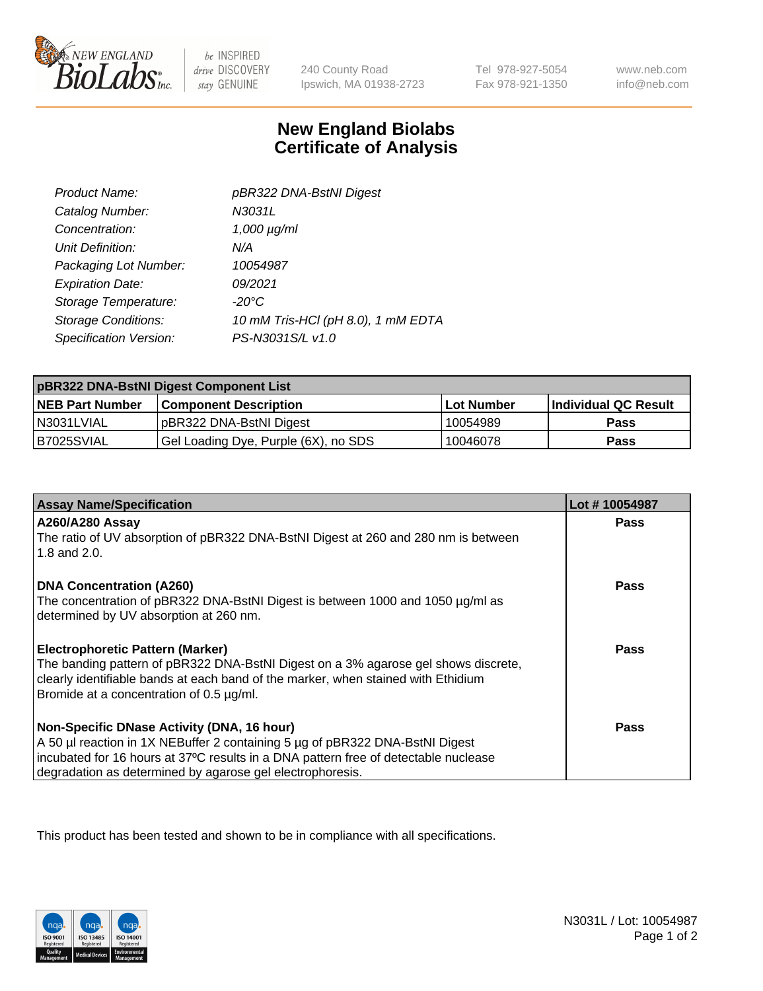

 $be$  INSPIRED drive DISCOVERY stay GENUINE

240 County Road Ipswich, MA 01938-2723 Tel 978-927-5054 Fax 978-921-1350

www.neb.com info@neb.com

## **New England Biolabs Certificate of Analysis**

| Product Name:              | pBR322 DNA-BstNI Digest            |
|----------------------------|------------------------------------|
| Catalog Number:            | N3031L                             |
| Concentration:             | $1,000 \mu g/ml$                   |
| Unit Definition:           | N/A                                |
| Packaging Lot Number:      | 10054987                           |
| <b>Expiration Date:</b>    | 09/2021                            |
| Storage Temperature:       | $-20^{\circ}$ C                    |
| <b>Storage Conditions:</b> | 10 mM Tris-HCl (pH 8.0), 1 mM EDTA |
| Specification Version:     | PS-N3031S/L v1.0                   |

| pBR322 DNA-BstNI Digest Component List |                                      |            |                      |  |
|----------------------------------------|--------------------------------------|------------|----------------------|--|
| <b>NEB Part Number</b>                 | <b>Component Description</b>         | Lot Number | Individual QC Result |  |
| N3031LVIAL                             | pBR322 DNA-BstNI Digest              | 10054989   | <b>Pass</b>          |  |
| B7025SVIAL                             | Gel Loading Dye, Purple (6X), no SDS | 10046078   | <b>Pass</b>          |  |

| <b>Assay Name/Specification</b>                                                                                               | Lot #10054987 |
|-------------------------------------------------------------------------------------------------------------------------------|---------------|
| <b>A260/A280 Assay</b><br>The ratio of UV absorption of pBR322 DNA-BstNI Digest at 260 and 280 nm is between                  | <b>Pass</b>   |
| 1.8 and 2.0.                                                                                                                  |               |
| <b>DNA Concentration (A260)</b>                                                                                               | Pass          |
| The concentration of pBR322 DNA-BstNI Digest is between 1000 and 1050 µg/ml as                                                |               |
| determined by UV absorption at 260 nm.                                                                                        |               |
| <b>Electrophoretic Pattern (Marker)</b>                                                                                       | Pass          |
| The banding pattern of pBR322 DNA-BstNI Digest on a 3% agarose gel shows discrete,                                            |               |
| clearly identifiable bands at each band of the marker, when stained with Ethidium<br>Bromide at a concentration of 0.5 µg/ml. |               |
|                                                                                                                               |               |
| Non-Specific DNase Activity (DNA, 16 hour)                                                                                    | Pass          |
| A 50 µl reaction in 1X NEBuffer 2 containing 5 µg of pBR322 DNA-BstNI Digest                                                  |               |
| incubated for 16 hours at 37°C results in a DNA pattern free of detectable nuclease                                           |               |
| degradation as determined by agarose gel electrophoresis.                                                                     |               |

This product has been tested and shown to be in compliance with all specifications.